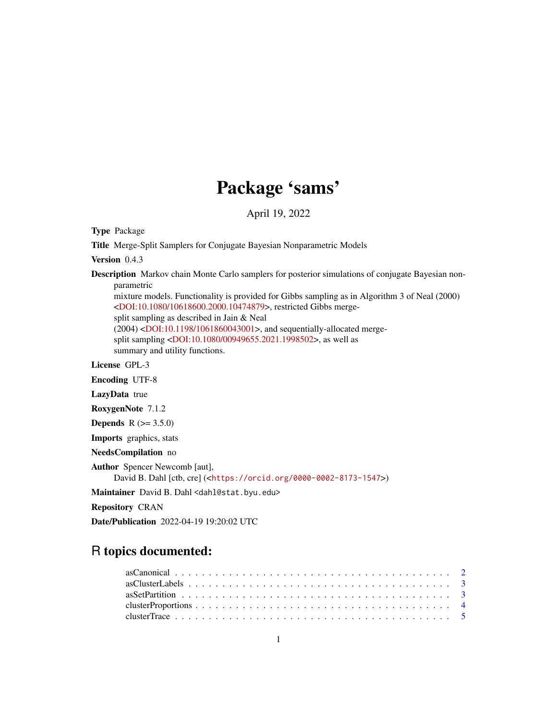# Package 'sams'

April 19, 2022

Type Package

Title Merge-Split Samplers for Conjugate Bayesian Nonparametric Models

Version 0.4.3

Description Markov chain Monte Carlo samplers for posterior simulations of conjugate Bayesian nonparametric

mixture models. Functionality is provided for Gibbs sampling as in Algorithm 3 of Neal (2000) [<DOI:10.1080/10618600.2000.10474879>](https://doi.org/10.1080/10618600.2000.10474879), restricted Gibbs mergesplit sampling as described in Jain & Neal (2004) [<DOI:10.1198/1061860043001>](https://doi.org/10.1198/1061860043001), and sequentially-allocated mergesplit sampling [<DOI:10.1080/00949655.2021.1998502>](https://doi.org/10.1080/00949655.2021.1998502), as well as summary and utility functions.

License GPL-3

Encoding UTF-8

LazyData true

RoxygenNote 7.1.2

**Depends**  $R (= 3.5.0)$ 

Imports graphics, stats

NeedsCompilation no

Author Spencer Newcomb [aut], David B. Dahl [ctb, cre] (<<https://orcid.org/0000-0002-8173-1547>>)

Maintainer David B. Dahl <dahl@stat.byu.edu>

Repository CRAN

Date/Publication 2022-04-19 19:20:02 UTC

# R topics documented: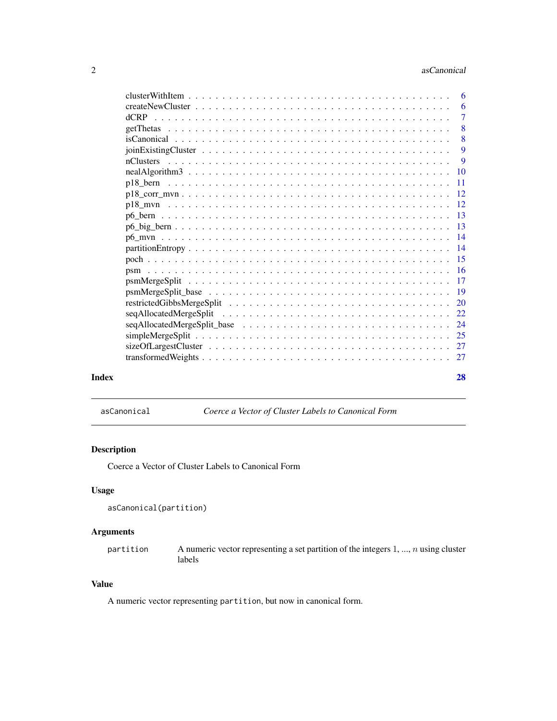<span id="page-1-0"></span>

|       |  |                | -6 |
|-------|--|----------------|----|
|       |  |                | -6 |
|       |  | $\overline{7}$ |    |
|       |  |                | -8 |
|       |  |                | 8  |
|       |  |                | 9  |
|       |  |                | 9  |
|       |  |                |    |
|       |  |                |    |
|       |  |                |    |
|       |  |                |    |
|       |  |                |    |
|       |  |                |    |
|       |  |                |    |
|       |  |                |    |
|       |  |                |    |
|       |  |                |    |
|       |  |                |    |
|       |  |                |    |
|       |  |                |    |
|       |  |                |    |
|       |  |                |    |
|       |  |                |    |
|       |  |                |    |
|       |  |                |    |
| Index |  | 28             |    |

asCanonical *Coerce a Vector of Cluster Labels to Canonical Form*

# Description

Coerce a Vector of Cluster Labels to Canonical Form

# Usage

```
asCanonical(partition)
```
# Arguments

partition A numeric vector representing a set partition of the integers  $1, ..., n$  using cluster labels

# Value

A numeric vector representing partition, but now in canonical form.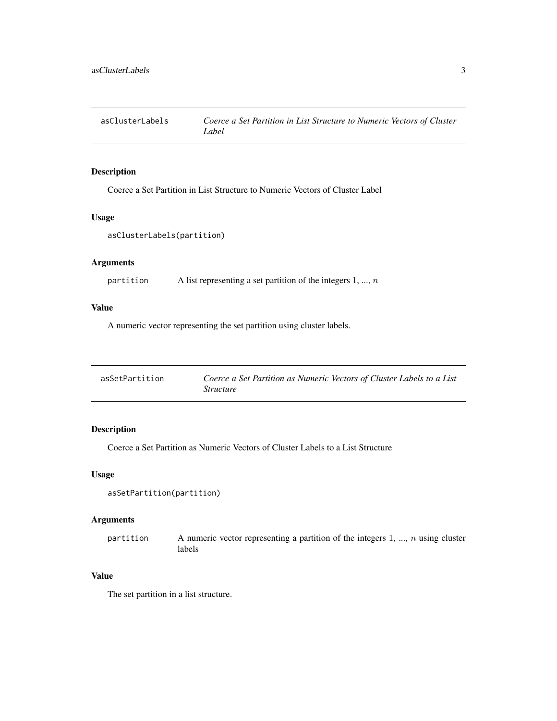<span id="page-2-0"></span>asClusterLabels *Coerce a Set Partition in List Structure to Numeric Vectors of Cluster Label*

# Description

Coerce a Set Partition in List Structure to Numeric Vectors of Cluster Label

#### Usage

```
asClusterLabels(partition)
```
# Arguments

```
partition A list representing a set partition of the integers 1, ..., n
```
# Value

A numeric vector representing the set partition using cluster labels.

| asSetPartition | Coerce a Set Partition as Numeric Vectors of Cluster Labels to a List |
|----------------|-----------------------------------------------------------------------|
|                | <i>Structure</i>                                                      |

# Description

Coerce a Set Partition as Numeric Vectors of Cluster Labels to a List Structure

# Usage

```
asSetPartition(partition)
```
# Arguments

| partition | A numeric vector representing a partition of the integers $1, , n$ using cluster |
|-----------|----------------------------------------------------------------------------------|
|           | labels                                                                           |

# Value

The set partition in a list structure.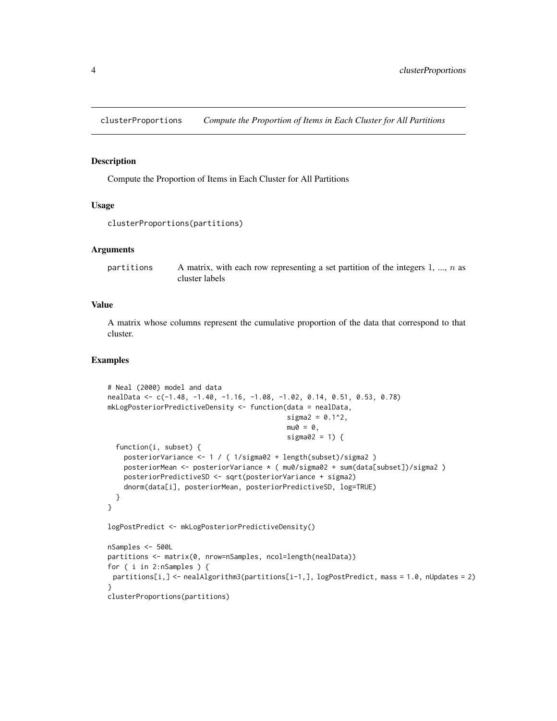<span id="page-3-0"></span>clusterProportions *Compute the Proportion of Items in Each Cluster for All Partitions*

#### Description

Compute the Proportion of Items in Each Cluster for All Partitions

# Usage

```
clusterProportions(partitions)
```
#### Arguments

| partitions | A matrix, with each row representing a set partition of the integers 1, , $n$ as |
|------------|----------------------------------------------------------------------------------|
|            | cluster labels                                                                   |

#### Value

A matrix whose columns represent the cumulative proportion of the data that correspond to that cluster.

```
# Neal (2000) model and data
nealData <- c(-1.48, -1.40, -1.16, -1.08, -1.02, 0.14, 0.51, 0.53, 0.78)
mkLogPosteriorPredictiveDensity <- function(data = nealData,
                                            signa2 = 0.1^2,mu0 = 0,
                                            sigma02 = 1) {
 function(i, subset) {
    posteriorVariance <- 1 / ( 1/sigma02 + length(subset)/sigma2 )
   posteriorMean <- posteriorVariance * ( mu0/sigma02 + sum(data[subset])/sigma2 )
   posteriorPredictiveSD <- sqrt(posteriorVariance + sigma2)
   dnorm(data[i], posteriorMean, posteriorPredictiveSD, log=TRUE)
 }
}
logPostPredict <- mkLogPosteriorPredictiveDensity()
nSamples <- 500L
partitions <- matrix(0, nrow=nSamples, ncol=length(nealData))
for ( i in 2:nSamples ) {
 partitions[i,] <- nealAlgorithm3(partitions[i-1,], logPostPredict, mass = 1.0, nUpdates = 2)
}
clusterProportions(partitions)
```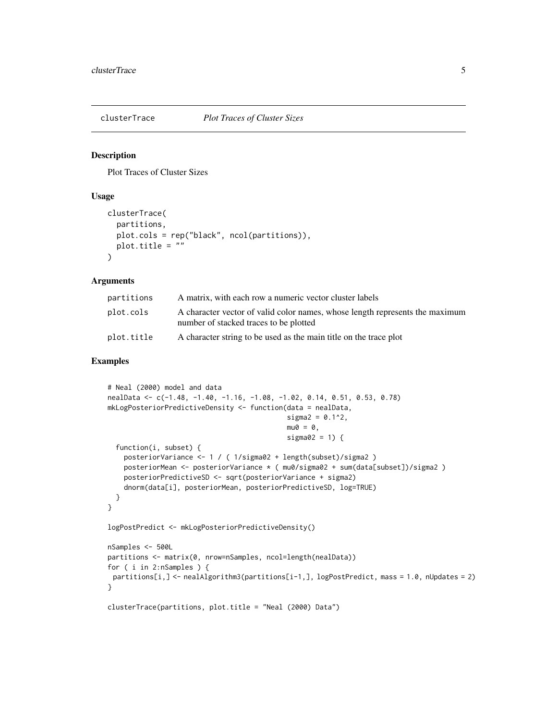<span id="page-4-0"></span>

#### Description

Plot Traces of Cluster Sizes

#### Usage

```
clusterTrace(
  partitions,
  plot.cols = rep("black", ncol(partitions)),
 plot.title = ""
)
```
#### Arguments

| partitions | A matrix, with each row a numeric vector cluster labels                                                                |
|------------|------------------------------------------------------------------------------------------------------------------------|
| plot.cols  | A character vector of valid color names, whose length represents the maximum<br>number of stacked traces to be plotted |
| plot.title | A character string to be used as the main title on the trace plot                                                      |

```
# Neal (2000) model and data
nealData <- c(-1.48, -1.40, -1.16, -1.08, -1.02, 0.14, 0.51, 0.53, 0.78)
mkLogPosteriorPredictiveDensity <- function(data = nealData,
                                            signa2 = 0.1^2,mu0 = 0,
                                            sigma02 = 1) {
  function(i, subset) {
    posteriorVariance <- 1 / ( 1/sigma02 + length(subset)/sigma2 )
   posteriorMean <- posteriorVariance * ( mu0/sigma02 + sum(data[subset])/sigma2 )
   posteriorPredictiveSD <- sqrt(posteriorVariance + sigma2)
    dnorm(data[i], posteriorMean, posteriorPredictiveSD, log=TRUE)
  }
}
logPostPredict <- mkLogPosteriorPredictiveDensity()
nSamples <- 500L
partitions <- matrix(0, nrow=nSamples, ncol=length(nealData))
for ( i in 2:nSamples ) {
 partitions[i,] <- nealAlgorithm3(partitions[i-1,], logPostPredict, mass = 1.0, nUpdates = 2)
}
clusterTrace(partitions, plot.title = "Neal (2000) Data")
```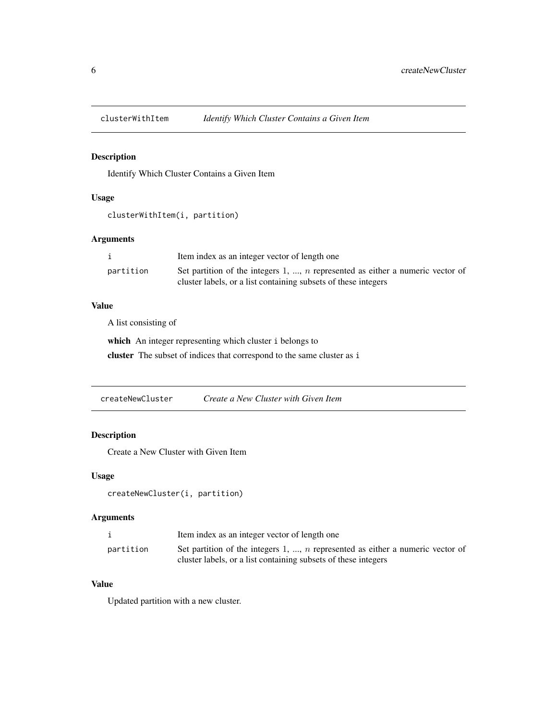<span id="page-5-0"></span>

# Description

Identify Which Cluster Contains a Given Item

# Usage

clusterWithItem(i, partition)

# Arguments

|           | Item index as an integer vector of length one                                    |
|-----------|----------------------------------------------------------------------------------|
| partition | Set partition of the integers 1, , $n$ represented as either a numeric vector of |
|           | cluster labels, or a list containing subsets of these integers                   |

# Value

A list consisting of

which An integer representing which cluster i belongs to cluster The subset of indices that correspond to the same cluster as i

createNewCluster *Create a New Cluster with Given Item*

# Description

Create a New Cluster with Given Item

#### Usage

```
createNewCluster(i, partition)
```
# Arguments

|           | Item index as an integer vector of length one                                    |
|-----------|----------------------------------------------------------------------------------|
| partition | Set partition of the integers 1, , $n$ represented as either a numeric vector of |
|           | cluster labels, or a list containing subsets of these integers                   |

# Value

Updated partition with a new cluster.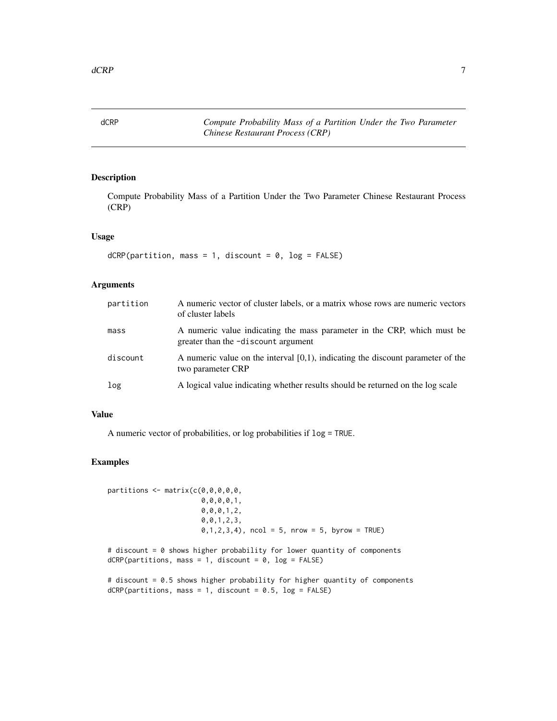<span id="page-6-0"></span>dCRP *Compute Probability Mass of a Partition Under the Two Parameter Chinese Restaurant Process (CRP)*

# Description

Compute Probability Mass of a Partition Under the Two Parameter Chinese Restaurant Process (CRP)

# Usage

```
dCRP(partition, mass = 1, discount = 0, log = FALSE)
```
# Arguments

| partition | A numeric vector of cluster labels, or a matrix whose rows are numeric vectors<br>of cluster labels            |
|-----------|----------------------------------------------------------------------------------------------------------------|
| mass      | A numeric value indicating the mass parameter in the CRP, which must be<br>greater than the -discount argument |
| discount  | A numeric value on the interval $[0,1)$ , indicating the discount parameter of the<br>two parameter CRP        |
| log       | A logical value indicating whether results should be returned on the log scale                                 |

#### Value

A numeric vector of probabilities, or log probabilities if log = TRUE.

# Examples

```
partitions \leq matrix(c(0,0,0,0,0,0)0,0,0,0,1,
                        0,0,0,1,2,
                        0,0,1,2,3,
                        0, 1, 2, 3, 4, ncol = 5, nrow = 5, byrow = TRUE)
```
# discount = 0 shows higher probability for lower quantity of components  $dCRP(partitions, mass = 1, discount = 0, log = FALSE)$ 

# discount = 0.5 shows higher probability for higher quantity of components  $dCRP(partitions, mass = 1, discount = 0.5, log = FALSE)$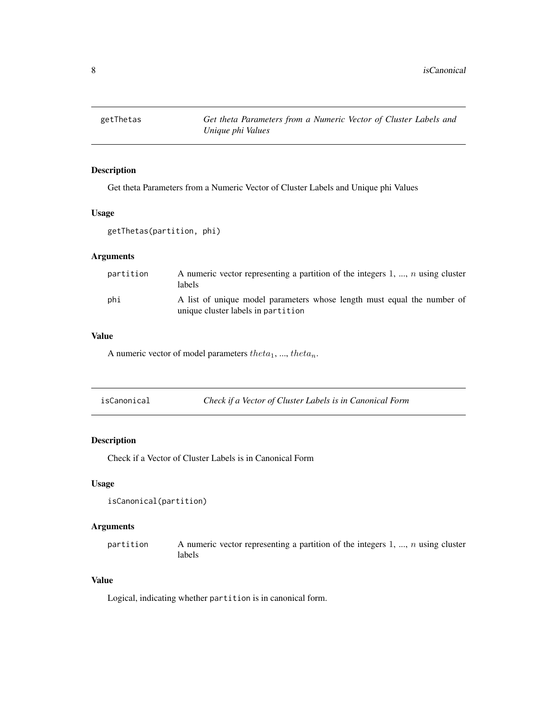<span id="page-7-0"></span>

# Description

Get theta Parameters from a Numeric Vector of Cluster Labels and Unique phi Values

#### Usage

getThetas(partition, phi)

#### Arguments

| partition | A numeric vector representing a partition of the integers 1, , n using cluster<br>labels                      |
|-----------|---------------------------------------------------------------------------------------------------------------|
| phi       | A list of unique model parameters whose length must equal the number of<br>unique cluster labels in partition |

# Value

A numeric vector of model parameters  $theta_1$ , ...,  $theta_n$ .

# Description

Check if a Vector of Cluster Labels is in Canonical Form

# Usage

```
isCanonical(partition)
```
# Arguments

partition A numeric vector representing a partition of the integers  $1, ..., n$  using cluster labels

# Value

Logical, indicating whether partition is in canonical form.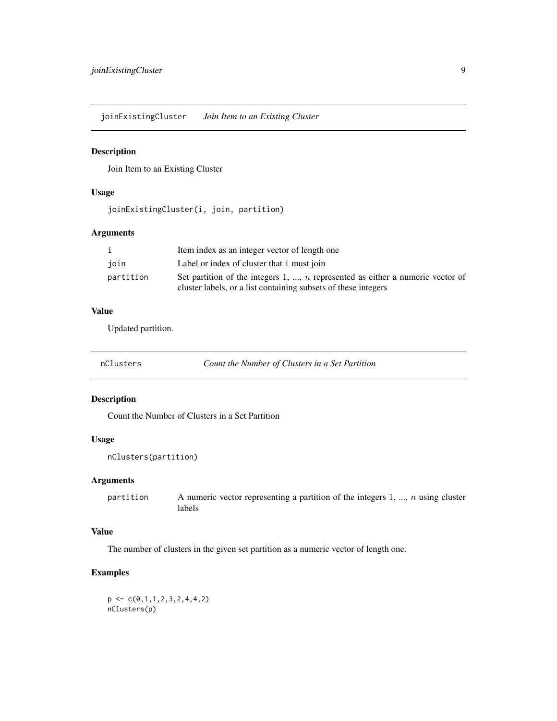<span id="page-8-0"></span>joinExistingCluster *Join Item to an Existing Cluster*

# Description

Join Item to an Existing Cluster

#### Usage

joinExistingCluster(i, join, partition)

# Arguments

|           | Item index as an integer vector of length one                                  |
|-----------|--------------------------------------------------------------------------------|
| join      | Label or index of cluster that i must join                                     |
| partition | Set partition of the integers 1, , n represented as either a numeric vector of |
|           | cluster labels, or a list containing subsets of these integers                 |

# Value

Updated partition.

| nClusters |  |  |
|-----------|--|--|
|           |  |  |
|           |  |  |
|           |  |  |
|           |  |  |

s **Count the Number of Clusters in a Set Partition** 

#### Description

Count the Number of Clusters in a Set Partition

#### Usage

```
nClusters(partition)
```
# Arguments

partition A numeric vector representing a partition of the integers  $1, ..., n$  using cluster labels

# Value

The number of clusters in the given set partition as a numeric vector of length one.

# Examples

 $p \leftarrow c(0,1,1,2,3,2,4,4,2)$ nClusters(p)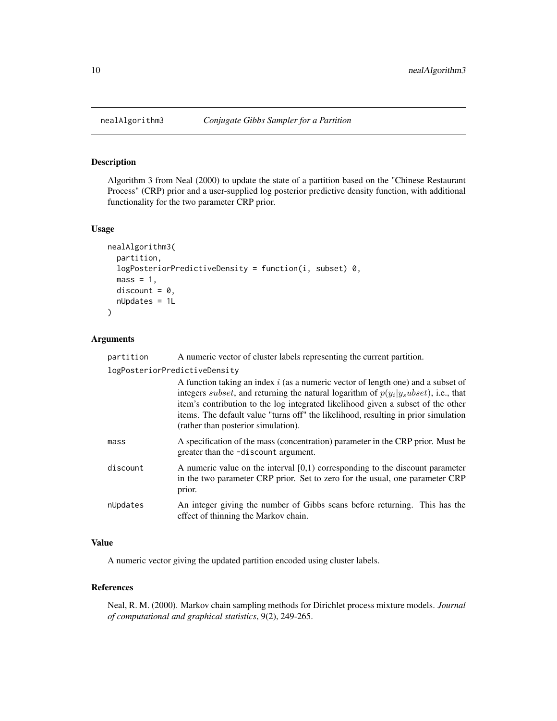#### Description

Algorithm 3 from Neal (2000) to update the state of a partition based on the "Chinese Restaurant Process" (CRP) prior and a user-supplied log posterior predictive density function, with additional functionality for the two parameter CRP prior.

#### Usage

```
nealAlgorithm3(
  partition,
  logPosteriorPredictiveDensity = function(i, subset) 0,
  mass = 1,discount = 0,
  nUpdates = 1L
)
```
#### Arguments

partition A numeric vector of cluster labels representing the current partition.

logPosteriorPredictiveDensity

|          | A function taking an index $i$ (as a numeric vector of length one) and a subset of<br>integers <i>subset</i> , and returning the natural logarithm of $p(y_i y_subset)$ , i.e., that<br>item's contribution to the log integrated likelihood given a subset of the other<br>items. The default value "turns off" the likelihood, resulting in prior simulation<br>(rather than posterior simulation). |
|----------|-------------------------------------------------------------------------------------------------------------------------------------------------------------------------------------------------------------------------------------------------------------------------------------------------------------------------------------------------------------------------------------------------------|
| mass     | A specification of the mass (concentration) parameter in the CRP prior. Must be<br>greater than the -discount argument.                                                                                                                                                                                                                                                                               |
| discount | A numeric value on the interval $[0,1)$ corresponding to the discount parameter<br>in the two parameter CRP prior. Set to zero for the usual, one parameter CRP<br>prior.                                                                                                                                                                                                                             |
| nUpdates | An integer giving the number of Gibbs scans before returning. This has the<br>effect of thinning the Markov chain.                                                                                                                                                                                                                                                                                    |

#### Value

A numeric vector giving the updated partition encoded using cluster labels.

#### References

Neal, R. M. (2000). Markov chain sampling methods for Dirichlet process mixture models. *Journal of computational and graphical statistics*, 9(2), 249-265.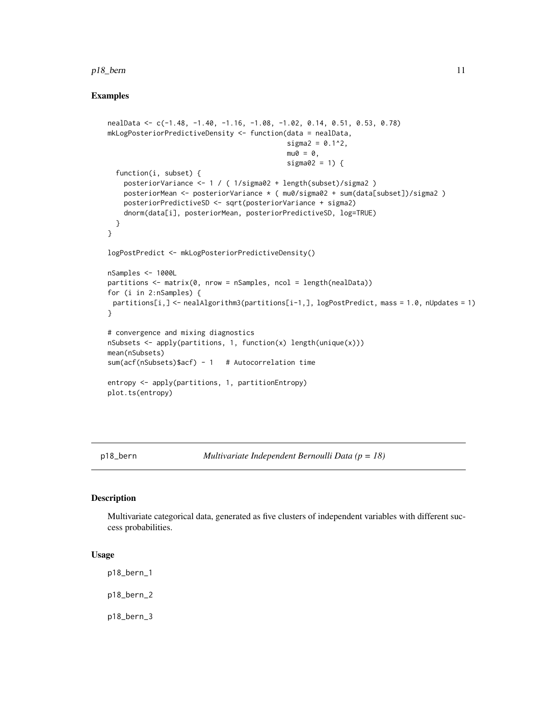#### <span id="page-10-0"></span>p18\_bern 11

# Examples

```
nealData <- c(-1.48, -1.40, -1.16, -1.08, -1.02, 0.14, 0.51, 0.53, 0.78)
mkLogPosteriorPredictiveDensity <- function(data = nealData,
                                            signa2 = 0.1^2,mu0 = 0,
                                            sigma02 = 1) {
 function(i, subset) {
   posteriorVariance <- 1 / ( 1/sigma02 + length(subset)/sigma2 )
   posteriorMean <- posteriorVariance * ( mu0/sigma02 + sum(data[subset])/sigma2 )
   posteriorPredictiveSD <- sqrt(posteriorVariance + sigma2)
   dnorm(data[i], posteriorMean, posteriorPredictiveSD, log=TRUE)
 }
}
logPostPredict <- mkLogPosteriorPredictiveDensity()
nSamples <- 1000L
partitions <- matrix(0, nrow = nSamples, ncol = length(nealData))
for (i in 2:nSamples) {
 partitions[i,] <- nealAlgorithm3(partitions[i-1,], logPostPredict, mass = 1.0, nUpdates = 1)
}
# convergence and mixing diagnostics
nSubsets \leq apply(partitions, 1, function(x) length(unique(x)))
mean(nSubsets)
sum(acf(nSubsets)$acf) - 1 # Autocorrelation time
entropy <- apply(partitions, 1, partitionEntropy)
plot.ts(entropy)
```
p18\_bern *Multivariate Independent Bernoulli Data (p = 18)*

#### Description

Multivariate categorical data, generated as five clusters of independent variables with different success probabilities.

#### Usage

p18\_bern\_1

p18\_bern\_2

p18\_bern\_3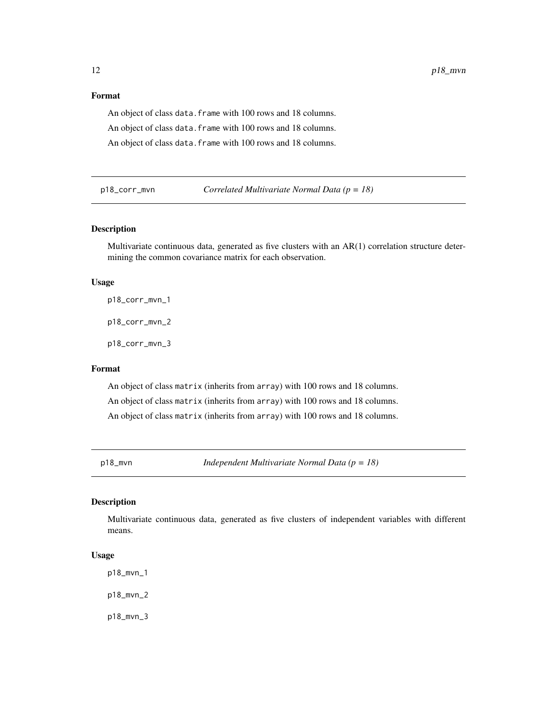# <span id="page-11-0"></span>Format

An object of class data. frame with 100 rows and 18 columns. An object of class data. frame with 100 rows and 18 columns. An object of class data. frame with 100 rows and 18 columns.

p18\_corr\_mvn *Correlated Multivariate Normal Data (p = 18)*

#### Description

Multivariate continuous data, generated as five clusters with an AR(1) correlation structure determining the common covariance matrix for each observation.

#### Usage

p18\_corr\_mvn\_1

p18\_corr\_mvn\_2

p18\_corr\_mvn\_3

#### Format

An object of class matrix (inherits from array) with 100 rows and 18 columns. An object of class matrix (inherits from array) with 100 rows and 18 columns. An object of class matrix (inherits from array) with 100 rows and 18 columns.

p18\_mvn *Independent Multivariate Normal Data (p = 18)*

#### Description

Multivariate continuous data, generated as five clusters of independent variables with different means.

#### Usage

p18\_mvn\_1

p18\_mvn\_2

p18\_mvn\_3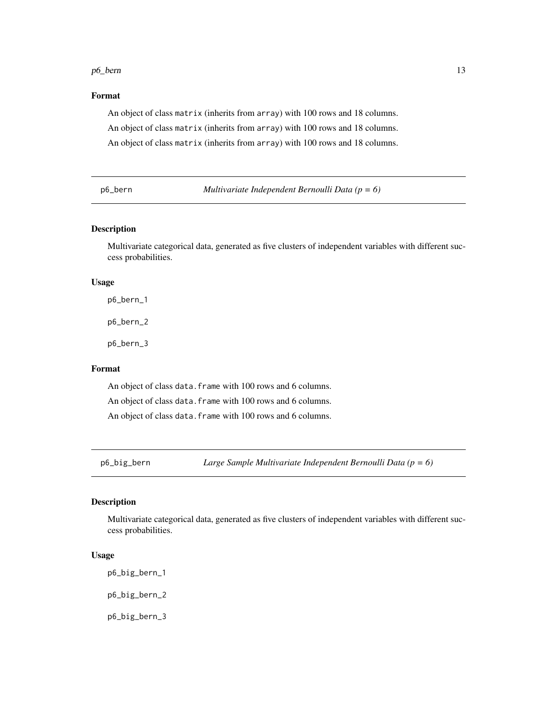#### <span id="page-12-0"></span>p6\_bern 13

# Format

An object of class matrix (inherits from array) with 100 rows and 18 columns. An object of class matrix (inherits from array) with 100 rows and 18 columns. An object of class matrix (inherits from array) with 100 rows and 18 columns.

p6\_bern *Multivariate Independent Bernoulli Data (p = 6)*

# Description

Multivariate categorical data, generated as five clusters of independent variables with different success probabilities.

#### Usage

p6\_bern\_1 p6\_bern\_2

p6\_bern\_3

Format

An object of class data. frame with 100 rows and 6 columns. An object of class data. frame with 100 rows and 6 columns. An object of class data. frame with 100 rows and 6 columns.

p6\_big\_bern *Large Sample Multivariate Independent Bernoulli Data (p = 6)*

#### Description

Multivariate categorical data, generated as five clusters of independent variables with different success probabilities.

#### Usage

p6\_big\_bern\_1

p6\_big\_bern\_2

p6\_big\_bern\_3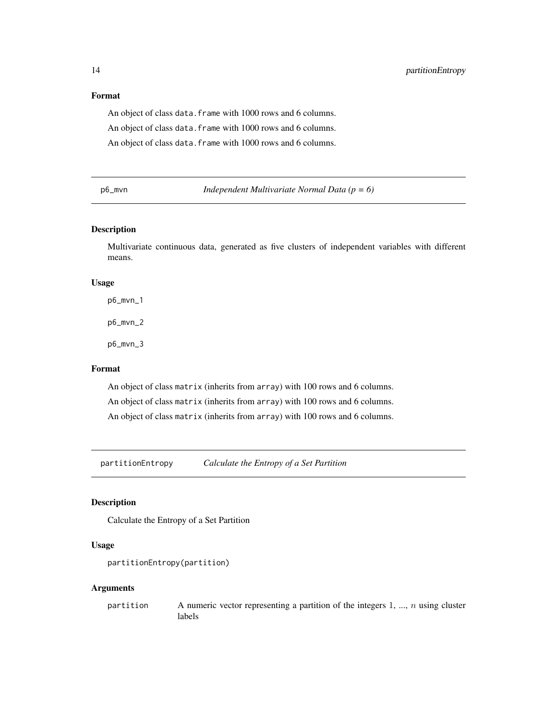# <span id="page-13-0"></span>Format

An object of class data. frame with 1000 rows and 6 columns. An object of class data. frame with 1000 rows and 6 columns. An object of class data. frame with 1000 rows and 6 columns.

p6\_mvn *Independent Multivariate Normal Data (p = 6)*

#### Description

Multivariate continuous data, generated as five clusters of independent variables with different means.

#### Usage

p6\_mvn\_1 p6\_mvn\_2 p6\_mvn\_3

# Format

An object of class matrix (inherits from array) with 100 rows and 6 columns. An object of class matrix (inherits from array) with 100 rows and 6 columns. An object of class matrix (inherits from array) with 100 rows and 6 columns.

partitionEntropy *Calculate the Entropy of a Set Partition*

# Description

Calculate the Entropy of a Set Partition

# Usage

```
partitionEntropy(partition)
```
#### Arguments

partition A numeric vector representing a partition of the integers  $1, ..., n$  using cluster labels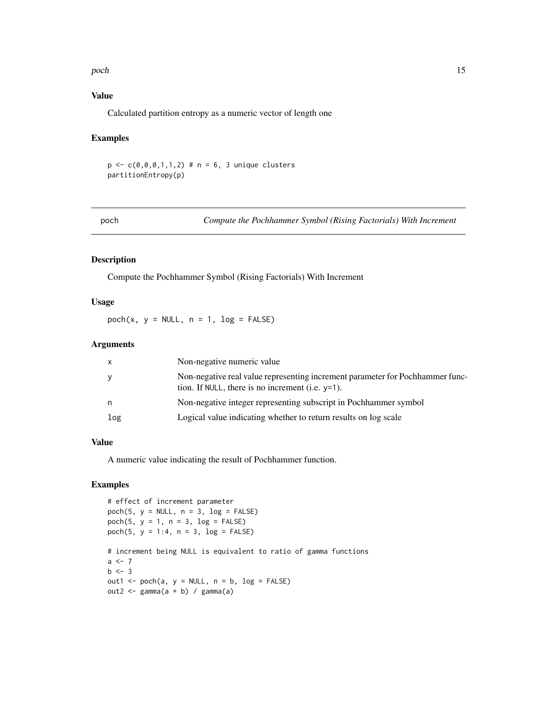#### <span id="page-14-0"></span>poch and the set of the set of the set of the set of the set of the set of the set of the set of the set of the set of the set of the set of the set of the set of the set of the set of the set of the set of the set of the

# Value

Calculated partition entropy as a numeric vector of length one

#### Examples

```
p \leq -c(0, 0, 0, 1, 1, 2) # n = 6, 3 unique clusters
partitionEntropy(p)
```
poch *Compute the Pochhammer Symbol (Rising Factorials) With Increment*

# Description

Compute the Pochhammer Symbol (Rising Factorials) With Increment

#### Usage

 $poch(x, y = NULL, n = 1, log = FALSE)$ 

# Arguments

| $\mathsf{x}$ | Non-negative numeric value                                                                                                           |
|--------------|--------------------------------------------------------------------------------------------------------------------------------------|
| y            | Non-negative real value representing increment parameter for Pochhammer func-<br>tion. If NULL, there is no increment (i.e. $y=1$ ). |
| n            | Non-negative integer representing subscript in Pochhammer symbol                                                                     |
| log          | Logical value indicating whether to return results on log scale                                                                      |

#### Value

A numeric value indicating the result of Pochhammer function.

```
# effect of increment parameter
poch(5, y = NULL, n = 3, log = FALSE)
poch(5, y = 1, n = 3, log = FALSE)poch(5, y = 1:4, n = 3, log = FALSE)
# increment being NULL is equivalent to ratio of gamma functions
a < -7b \le -3out1 <- poch(a, y = NULL, n = b, log = FALSE)out2 \leftarrow gamma(a + b) / gamma(a)
```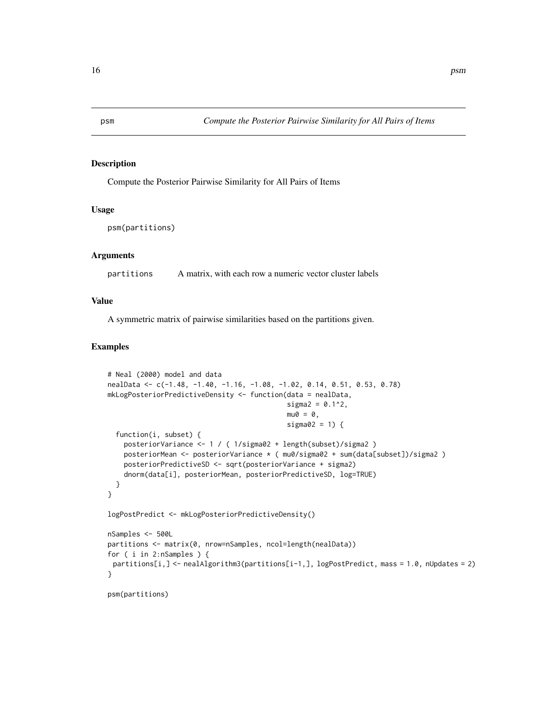<span id="page-15-0"></span>

#### Description

Compute the Posterior Pairwise Similarity for All Pairs of Items

# Usage

```
psm(partitions)
```
# Arguments

partitions A matrix, with each row a numeric vector cluster labels

# Value

A symmetric matrix of pairwise similarities based on the partitions given.

```
# Neal (2000) model and data
nealData <- c(-1.48, -1.40, -1.16, -1.08, -1.02, 0.14, 0.51, 0.53, 0.78)
mkLogPosteriorPredictiveDensity <- function(data = nealData,
                                            signa2 = 0.1^2,mu0 = 0,
                                            sigma02 = 1) {
  function(i, subset) {
    posteriorVariance <- 1 / ( 1/sigma02 + length(subset)/sigma2 )
   posteriorMean <- posteriorVariance * ( mu0/sigma02 + sum(data[subset])/sigma2 )
   posteriorPredictiveSD <- sqrt(posteriorVariance + sigma2)
    dnorm(data[i], posteriorMean, posteriorPredictiveSD, log=TRUE)
  }
}
logPostPredict <- mkLogPosteriorPredictiveDensity()
nSamples <- 500L
partitions <- matrix(0, nrow=nSamples, ncol=length(nealData))
for ( i in 2:nSamples ) {
 partitions[i,] <- nealAlgorithm3(partitions[i-1,], logPostPredict, mass = 1.0, nUpdates = 2)
}
psm(partitions)
```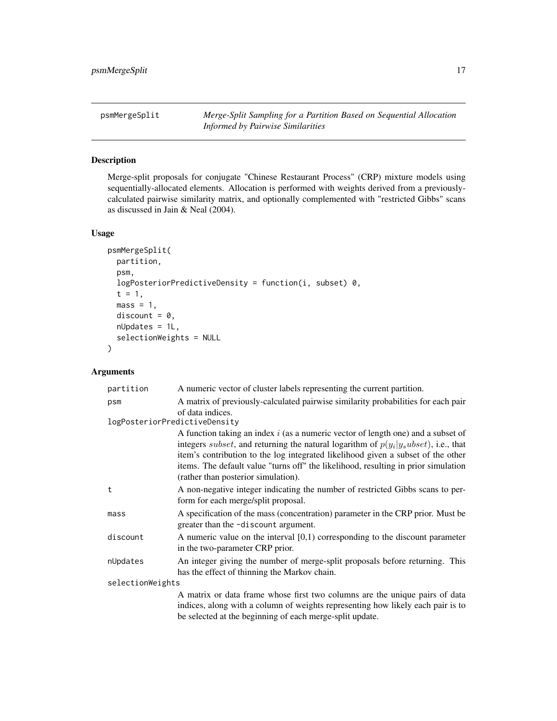<span id="page-16-1"></span><span id="page-16-0"></span>psmMergeSplit *Merge-Split Sampling for a Partition Based on Sequential Allocation Informed by Pairwise Similarities*

# Description

Merge-split proposals for conjugate "Chinese Restaurant Process" (CRP) mixture models using sequentially-allocated elements. Allocation is performed with weights derived from a previouslycalculated pairwise similarity matrix, and optionally complemented with "restricted Gibbs" scans as discussed in Jain & Neal (2004).

#### Usage

```
psmMergeSplit(
 partition,
  psm,
  logPosteriorPredictiveDensity = function(i, subset) 0,
  t = 1,
  mass = 1,discount = 0,
  nUpdates = 1L,
  selectionWeights = NULL
)
```
# Arguments

| partition                     | A numeric vector of cluster labels representing the current partition.                                                                                                                                                                                                                                                                                                                                |  |
|-------------------------------|-------------------------------------------------------------------------------------------------------------------------------------------------------------------------------------------------------------------------------------------------------------------------------------------------------------------------------------------------------------------------------------------------------|--|
| psm                           | A matrix of previously-calculated pairwise similarity probabilities for each pair                                                                                                                                                                                                                                                                                                                     |  |
| logPosteriorPredictiveDensity | of data indices.                                                                                                                                                                                                                                                                                                                                                                                      |  |
|                               | A function taking an index $i$ (as a numeric vector of length one) and a subset of<br>integers <i>subset</i> , and returning the natural logarithm of $p(y_i y_subset)$ , i.e., that<br>item's contribution to the log integrated likelihood given a subset of the other<br>items. The default value "turns off" the likelihood, resulting in prior simulation<br>(rather than posterior simulation). |  |
| t                             | A non-negative integer indicating the number of restricted Gibbs scans to per-<br>form for each merge/split proposal.                                                                                                                                                                                                                                                                                 |  |
| mass                          | A specification of the mass (concentration) parameter in the CRP prior. Must be<br>greater than the -discount argument.                                                                                                                                                                                                                                                                               |  |
| discount                      | A numeric value on the interval $[0,1)$ corresponding to the discount parameter<br>in the two-parameter CRP prior.                                                                                                                                                                                                                                                                                    |  |
| nUpdates                      | An integer giving the number of merge-split proposals before returning. This<br>has the effect of thinning the Markov chain.                                                                                                                                                                                                                                                                          |  |
| selectionWeights              |                                                                                                                                                                                                                                                                                                                                                                                                       |  |
|                               | A matrix or data frame whose first two columns are the unique pairs of data<br>indices, along with a column of weights representing how likely each pair is to                                                                                                                                                                                                                                        |  |
|                               | be selected at the beginning of each merge-split update.                                                                                                                                                                                                                                                                                                                                              |  |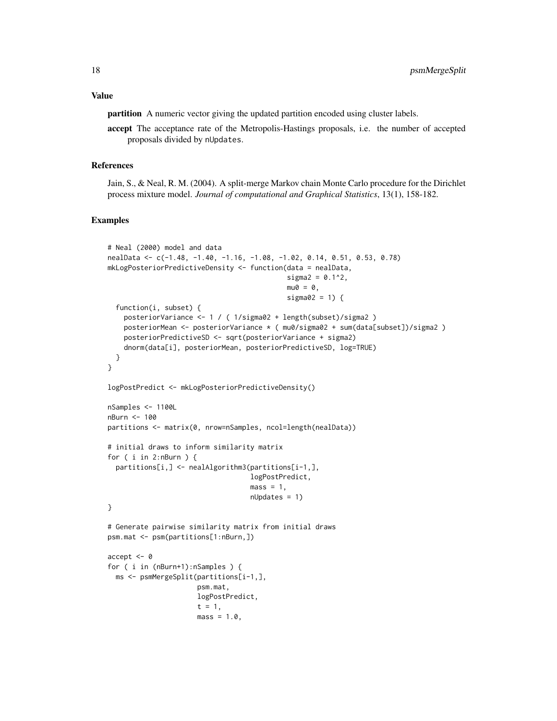# Value

partition A numeric vector giving the updated partition encoded using cluster labels.

accept The acceptance rate of the Metropolis-Hastings proposals, i.e. the number of accepted proposals divided by nUpdates.

#### References

Jain, S., & Neal, R. M. (2004). A split-merge Markov chain Monte Carlo procedure for the Dirichlet process mixture model. *Journal of computational and Graphical Statistics*, 13(1), 158-182.

```
# Neal (2000) model and data
nealData <- c(-1.48, -1.40, -1.16, -1.08, -1.02, 0.14, 0.51, 0.53, 0.78)
mkLogPosteriorPredictiveDensity <- function(data = nealData,
                                            sigma2 = 0.1^{2},
                                            mu0 = 0,
                                            sigma02 = 1) {
  function(i, subset) {
    posteriorVariance <- 1 / ( 1/sigma02 + length(subset)/sigma2 )
    posteriorMean <- posteriorVariance * ( mu0/sigma02 + sum(data[subset])/sigma2 )
   posteriorPredictiveSD <- sqrt(posteriorVariance + sigma2)
    dnorm(data[i], posteriorMean, posteriorPredictiveSD, log=TRUE)
  }
}
logPostPredict <- mkLogPosteriorPredictiveDensity()
nSamples <- 1100L
nBurn <- 100
partitions <- matrix(0, nrow=nSamples, ncol=length(nealData))
# initial draws to inform similarity matrix
for ( i in 2:nBurn ) {
  partitions[i,] <- nealAlgorithm3(partitions[i-1,],
                                   logPostPredict,
                                   mass = 1,
                                   nUpdates = 1)
}
# Generate pairwise similarity matrix from initial draws
psm.mat <- psm(partitions[1:nBurn,])
accept <- 0
for ( i in (nBurn+1):nSamples ) {
 ms <- psmMergeSplit(partitions[i-1,],
                     psm.mat,
                      logPostPredict,
                      t = 1,
                      mass = 1.0,
```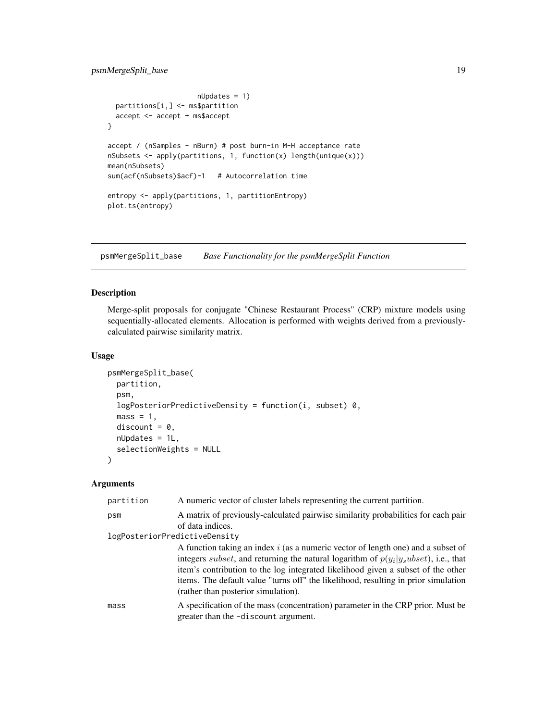```
nUpdates = 1)
 partitions[i,] <- ms$partition
 accept <- accept + ms$accept
}
accept / (nSamples - nBurn) # post burn-in M-H acceptance rate
nSubsets \leq apply(partitions, 1, function(x) length(unique(x)))
mean(nSubsets)
sum(acf(nSubsets)$acf)-1 # Autocorrelation time
entropy <- apply(partitions, 1, partitionEntropy)
plot.ts(entropy)
```
psmMergeSplit\_base *Base Functionality for the psmMergeSplit Function*

#### Description

Merge-split proposals for conjugate "Chinese Restaurant Process" (CRP) mixture models using sequentially-allocated elements. Allocation is performed with weights derived from a previouslycalculated pairwise similarity matrix.

# Usage

```
psmMergeSplit_base(
 partition,
  psm,
  logPosteriorPredictiveDensity = function(i, subset) 0,
 mass = 1,discount = 0,
 nUpdates = 1L,
  selectionWeights = NULL
)
```
#### Arguments

| partition                     | A numeric vector of cluster labels representing the current partition.                                                                                                                                                                                                                                                                                                                                |
|-------------------------------|-------------------------------------------------------------------------------------------------------------------------------------------------------------------------------------------------------------------------------------------------------------------------------------------------------------------------------------------------------------------------------------------------------|
| psm                           | A matrix of previously-calculated pairwise similarity probabilities for each pair<br>of data indices.                                                                                                                                                                                                                                                                                                 |
| logPosteriorPredictiveDensity |                                                                                                                                                                                                                                                                                                                                                                                                       |
|                               | A function taking an index $i$ (as a numeric vector of length one) and a subset of<br>integers <i>subset</i> , and returning the natural logarithm of $p(y_i y_subset)$ , i.e., that<br>item's contribution to the log integrated likelihood given a subset of the other<br>items. The default value "turns off" the likelihood, resulting in prior simulation<br>(rather than posterior simulation). |
| mass                          | A specification of the mass (concentration) parameter in the CRP prior. Must be<br>greater than the -discount argument.                                                                                                                                                                                                                                                                               |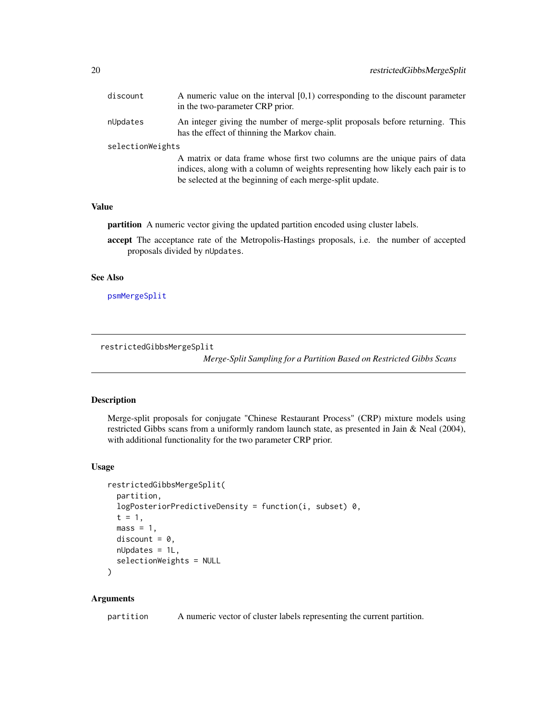<span id="page-19-0"></span>

| discount         | A numeric value on the interval $[0,1)$ corresponding to the discount parameter<br>in the two-parameter CRP prior.                                                                                                         |
|------------------|----------------------------------------------------------------------------------------------------------------------------------------------------------------------------------------------------------------------------|
| nUpdates         | An integer giving the number of merge-split proposals before returning. This<br>has the effect of thinning the Markov chain.                                                                                               |
| selectionWeights |                                                                                                                                                                                                                            |
|                  | A matrix or data frame whose first two columns are the unique pairs of data<br>indices, along with a column of weights representing how likely each pair is to<br>be selected at the beginning of each merge-split update. |

#### Value

partition A numeric vector giving the updated partition encoded using cluster labels.

accept The acceptance rate of the Metropolis-Hastings proposals, i.e. the number of accepted proposals divided by nUpdates.

#### See Also

[psmMergeSplit](#page-16-1)

restrictedGibbsMergeSplit

*Merge-Split Sampling for a Partition Based on Restricted Gibbs Scans*

# Description

Merge-split proposals for conjugate "Chinese Restaurant Process" (CRP) mixture models using restricted Gibbs scans from a uniformly random launch state, as presented in Jain & Neal (2004), with additional functionality for the two parameter CRP prior.

# Usage

```
restrictedGibbsMergeSplit(
  partition,
  logPosteriorPredictiveDensity = function(i, subset) 0,
  t = 1,mass = 1,discount = 0,
 nUpdates = 1L,
  selectionWeights = NULL
\mathcal{L}
```
#### Arguments

partition A numeric vector of cluster labels representing the current partition.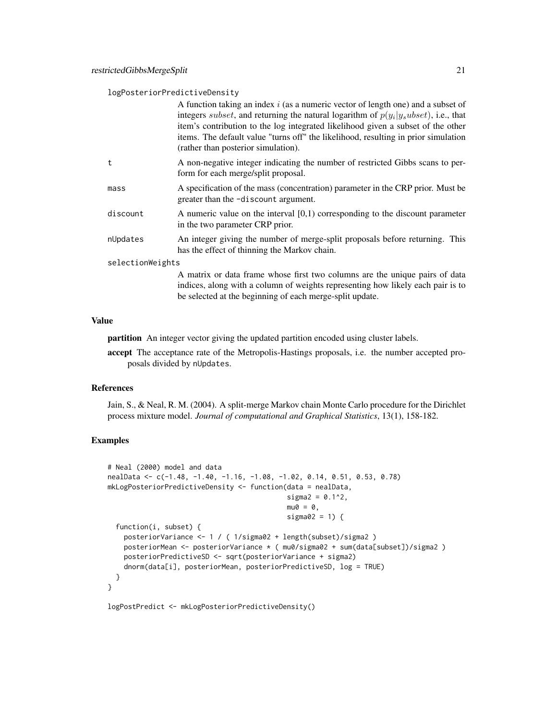#### logPosteriorPredictiveDensity

|                  | A function taking an index $i$ (as a numeric vector of length one) and a subset of<br>integers <i>subset</i> , and returning the natural logarithm of $p(y_i y_subset)$ , i.e., that<br>item's contribution to the log integrated likelihood given a subset of the other<br>items. The default value "turns off" the likelihood, resulting in prior simulation<br>(rather than posterior simulation). |
|------------------|-------------------------------------------------------------------------------------------------------------------------------------------------------------------------------------------------------------------------------------------------------------------------------------------------------------------------------------------------------------------------------------------------------|
| t                | A non-negative integer indicating the number of restricted Gibbs scans to per-<br>form for each merge/split proposal.                                                                                                                                                                                                                                                                                 |
| mass             | A specification of the mass (concentration) parameter in the CRP prior. Must be<br>greater than the -discount argument.                                                                                                                                                                                                                                                                               |
| discount         | A numeric value on the interval $[0,1)$ corresponding to the discount parameter<br>in the two parameter CRP prior.                                                                                                                                                                                                                                                                                    |
| nUpdates         | An integer giving the number of merge-split proposals before returning. This<br>has the effect of thinning the Markov chain.                                                                                                                                                                                                                                                                          |
| selectionWeights |                                                                                                                                                                                                                                                                                                                                                                                                       |
|                  | A matrix or data frame whose first two columns are the unique pairs of data<br>indices, along with a column of weights representing how likely each pair is to                                                                                                                                                                                                                                        |

#### Value

partition An integer vector giving the updated partition encoded using cluster labels.

accept The acceptance rate of the Metropolis-Hastings proposals, i.e. the number accepted proposals divided by nUpdates.

be selected at the beginning of each merge-split update.

#### References

Jain, S., & Neal, R. M. (2004). A split-merge Markov chain Monte Carlo procedure for the Dirichlet process mixture model. *Journal of computational and Graphical Statistics*, 13(1), 158-182.

# Examples

```
# Neal (2000) model and data
nealData <- c(-1.48, -1.40, -1.16, -1.08, -1.02, 0.14, 0.51, 0.53, 0.78)
mkLogPosteriorPredictiveDensity <- function(data = nealData,
                                            signa2 = 0.1^2,mu0 = 0,
                                            sigma02 = 1) {
  function(i, subset) {
   posteriorVariance <- 1 / ( 1/sigma02 + length(subset)/sigma2 )
   posteriorMean <- posteriorVariance * ( mu0/sigma02 + sum(data[subset])/sigma2 )
   posteriorPredictiveSD <- sqrt(posteriorVariance + sigma2)
    dnorm(data[i], posteriorMean, posteriorPredictiveSD, log = TRUE)
  }
}
```
logPostPredict <- mkLogPosteriorPredictiveDensity()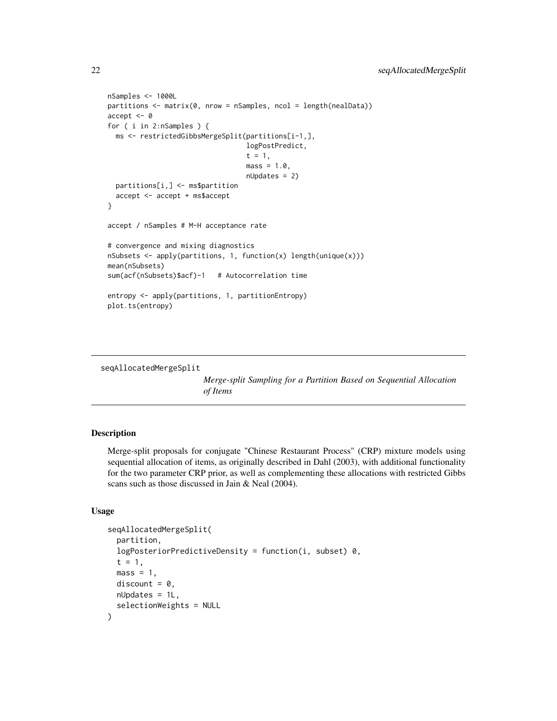```
nSamples <- 1000L
partitions <- matrix(0, nrow = nSamples, ncol = length(nealData))
accept <- 0
for ( i in 2:nSamples ) {
 ms <- restrictedGibbsMergeSplit(partitions[i-1,],
                                  logPostPredict,
                                  t = 1,
                                  mass = 1.0,
                                  nUpdates = 2)
 partitions[i,] <- ms$partition
 accept <- accept + ms$accept
}
accept / nSamples # M-H acceptance rate
# convergence and mixing diagnostics
nSubsets <- apply(partitions, 1, function(x) length(unique(x)))
mean(nSubsets)
sum(acf(nSubsets)$acf)-1 # Autocorrelation time
entropy <- apply(partitions, 1, partitionEntropy)
plot.ts(entropy)
```

```
seqAllocatedMergeSplit
```
*Merge-split Sampling for a Partition Based on Sequential Allocation of Items*

# Description

Merge-split proposals for conjugate "Chinese Restaurant Process" (CRP) mixture models using sequential allocation of items, as originally described in Dahl (2003), with additional functionality for the two parameter CRP prior, as well as complementing these allocations with restricted Gibbs scans such as those discussed in Jain & Neal (2004).

### Usage

```
seqAllocatedMergeSplit(
  partition,
  logPosteriorPredictiveDensity = function(i, subset) 0,
  t = 1,
 mass = 1,
 discount = 0,
 nUpdates = 1L,
  selectionWeights = NULL
)
```
<span id="page-21-0"></span>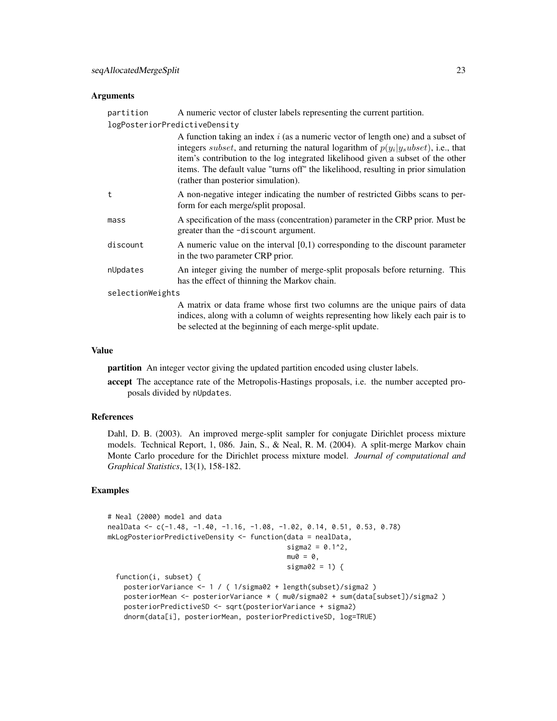#### Arguments

| partition        | A numeric vector of cluster labels representing the current partition.                                                                                                                                                                                                                                                                                                                                |  |
|------------------|-------------------------------------------------------------------------------------------------------------------------------------------------------------------------------------------------------------------------------------------------------------------------------------------------------------------------------------------------------------------------------------------------------|--|
|                  | logPosteriorPredictiveDensity                                                                                                                                                                                                                                                                                                                                                                         |  |
|                  | A function taking an index $i$ (as a numeric vector of length one) and a subset of<br>integers <i>subset</i> , and returning the natural logarithm of $p(y_i y_subset)$ , i.e., that<br>item's contribution to the log integrated likelihood given a subset of the other<br>items. The default value "turns off" the likelihood, resulting in prior simulation<br>(rather than posterior simulation). |  |
| t                | A non-negative integer indicating the number of restricted Gibbs scans to per-<br>form for each merge/split proposal.                                                                                                                                                                                                                                                                                 |  |
| mass             | A specification of the mass (concentration) parameter in the CRP prior. Must be<br>greater than the -discount argument.                                                                                                                                                                                                                                                                               |  |
| discount         | A numeric value on the interval $[0,1)$ corresponding to the discount parameter<br>in the two parameter CRP prior.                                                                                                                                                                                                                                                                                    |  |
| nUpdates         | An integer giving the number of merge-split proposals before returning. This<br>has the effect of thinning the Markov chain.                                                                                                                                                                                                                                                                          |  |
| selectionWeights |                                                                                                                                                                                                                                                                                                                                                                                                       |  |
|                  | A matrix or data frame whose first two columns are the unique pairs of data<br>indices, along with a column of weights representing how likely each pair is to<br>be selected at the beginning of each merge-split update.                                                                                                                                                                            |  |

#### Value

partition An integer vector giving the updated partition encoded using cluster labels.

accept The acceptance rate of the Metropolis-Hastings proposals, i.e. the number accepted proposals divided by nUpdates.

#### References

Dahl, D. B. (2003). An improved merge-split sampler for conjugate Dirichlet process mixture models. Technical Report, 1, 086. Jain, S., & Neal, R. M. (2004). A split-merge Markov chain Monte Carlo procedure for the Dirichlet process mixture model. *Journal of computational and Graphical Statistics*, 13(1), 158-182.

```
# Neal (2000) model and data
nealData <- c(-1.48, -1.40, -1.16, -1.08, -1.02, 0.14, 0.51, 0.53, 0.78)
mkLogPosteriorPredictiveDensity <- function(data = nealData,
                                            sigma2 = 0.1^{2},
                                            mu0 = 0,
                                            sigma02 = 1) {
  function(i, subset) {
    posteriorVariance <- 1 / ( 1/sigma02 + length(subset)/sigma2 )
    posteriorMean <- posteriorVariance * ( mu0/sigma02 + sum(data[subset])/sigma2 )
   posteriorPredictiveSD <- sqrt(posteriorVariance + sigma2)
    dnorm(data[i], posteriorMean, posteriorPredictiveSD, log=TRUE)
```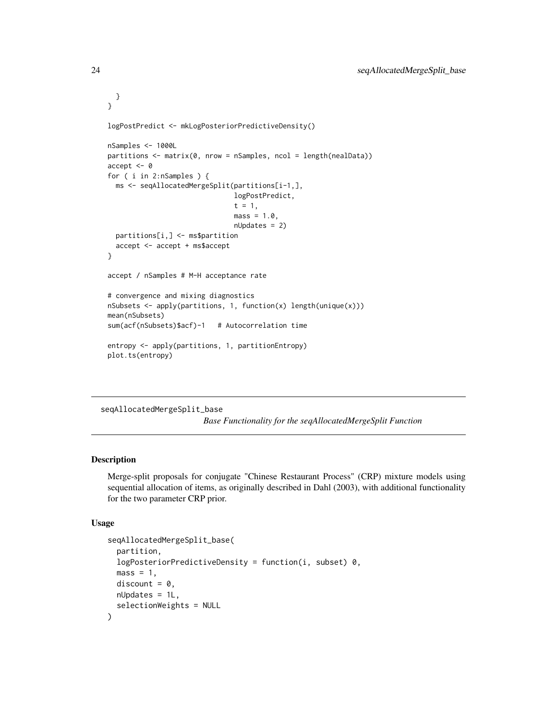```
}
}
logPostPredict <- mkLogPosteriorPredictiveDensity()
nSamples <- 1000L
partitions <- matrix(0, nrow = nSamples, ncol = length(nealData))
accept <- 0
for ( i in 2:nSamples ) {
  ms <- seqAllocatedMergeSplit(partitions[i-1,],
                               logPostPredict,
                               t = 1,
                               mass = 1.0,nUpdates = 2)
  partitions[i,] <- ms$partition
  accept <- accept + ms$accept
}
accept / nSamples # M-H acceptance rate
# convergence and mixing diagnostics
nSubsets <- apply(partitions, 1, function(x) length(unique(x)))
mean(nSubsets)
sum(acf(nSubsets)$acf)-1 # Autocorrelation time
entropy <- apply(partitions, 1, partitionEntropy)
plot.ts(entropy)
```
seqAllocatedMergeSplit\_base

*Base Functionality for the seqAllocatedMergeSplit Function*

#### Description

Merge-split proposals for conjugate "Chinese Restaurant Process" (CRP) mixture models using sequential allocation of items, as originally described in Dahl (2003), with additional functionality for the two parameter CRP prior.

#### Usage

```
seqAllocatedMergeSplit_base(
 partition,
 logPosteriorPredictiveDensity = function(i, subset) 0,mass = 1,
 discount = 0,
 nUpdates = 1L,
  selectionWeights = NULL
)
```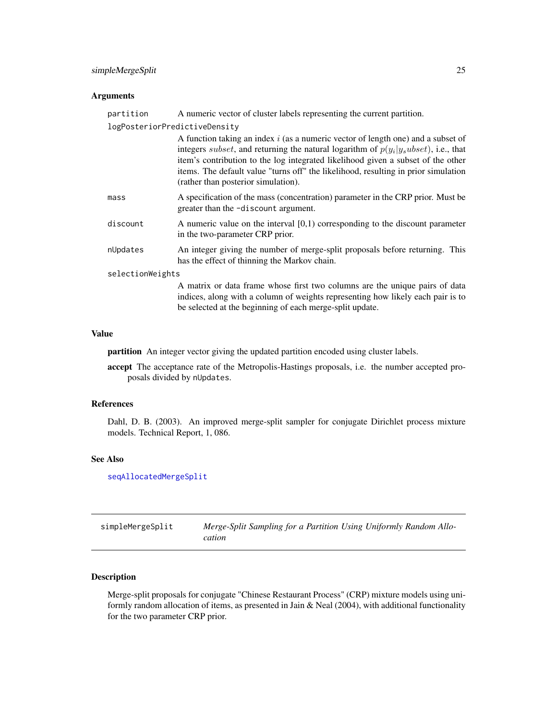# <span id="page-24-0"></span>simpleMergeSplit 25

#### Arguments

| partition                     | A numeric vector of cluster labels representing the current partition.                                                                                                                                                                                                                                                                                                                                |  |
|-------------------------------|-------------------------------------------------------------------------------------------------------------------------------------------------------------------------------------------------------------------------------------------------------------------------------------------------------------------------------------------------------------------------------------------------------|--|
| logPosteriorPredictiveDensity |                                                                                                                                                                                                                                                                                                                                                                                                       |  |
|                               | A function taking an index $i$ (as a numeric vector of length one) and a subset of<br>integers <i>subset</i> , and returning the natural logarithm of $p(y_i y_subset)$ , i.e., that<br>item's contribution to the log integrated likelihood given a subset of the other<br>items. The default value "turns off" the likelihood, resulting in prior simulation<br>(rather than posterior simulation). |  |
| mass                          | A specification of the mass (concentration) parameter in the CRP prior. Must be<br>greater than the -discount argument.                                                                                                                                                                                                                                                                               |  |
| discount                      | A numeric value on the interval $[0,1)$ corresponding to the discount parameter<br>in the two-parameter CRP prior.                                                                                                                                                                                                                                                                                    |  |
| nUpdates                      | An integer giving the number of merge-split proposals before returning. This<br>has the effect of thinning the Markov chain.                                                                                                                                                                                                                                                                          |  |
| selectionWeights              |                                                                                                                                                                                                                                                                                                                                                                                                       |  |
|                               | A matrix or data frame whose first two columns are the unique pairs of data<br>indices, along with a column of weights representing how likely each pair is to                                                                                                                                                                                                                                        |  |

# be selected at the beginning of each merge-split update.

# Value

partition An integer vector giving the updated partition encoded using cluster labels.

accept The acceptance rate of the Metropolis-Hastings proposals, i.e. the number accepted proposals divided by nUpdates.

#### References

Dahl, D. B. (2003). An improved merge-split sampler for conjugate Dirichlet process mixture models. Technical Report, 1, 086.

#### See Also

### [seqAllocatedMergeSplit](#page-21-1)

| simpleMergeSplit | Merge-Split Sampling for a Partition Using Uniformly Random Allo- |
|------------------|-------------------------------------------------------------------|
|                  | cation                                                            |

# Description

Merge-split proposals for conjugate "Chinese Restaurant Process" (CRP) mixture models using uniformly random allocation of items, as presented in Jain & Neal (2004), with additional functionality for the two parameter CRP prior.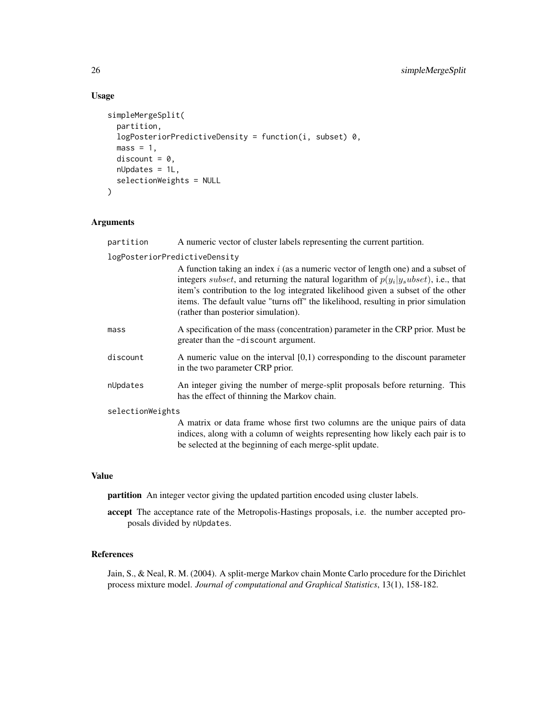# Usage

```
simpleMergeSplit(
 partition,
  logPosteriorPredictiveDensity = function(i, subset) 0,
 mass = 1,discount = 0,
 nUpdates = 1L,
  selectionWeights = NULL
\mathcal{L}
```
# Arguments

| partition                     | A numeric vector of cluster labels representing the current partition.                                                                                                                                                                                                                                                                                                                                |
|-------------------------------|-------------------------------------------------------------------------------------------------------------------------------------------------------------------------------------------------------------------------------------------------------------------------------------------------------------------------------------------------------------------------------------------------------|
| logPosteriorPredictiveDensity |                                                                                                                                                                                                                                                                                                                                                                                                       |
|                               | A function taking an index $i$ (as a numeric vector of length one) and a subset of<br>integers <i>subset</i> , and returning the natural logarithm of $p(y_i y_subset)$ , i.e., that<br>item's contribution to the log integrated likelihood given a subset of the other<br>items. The default value "turns off" the likelihood, resulting in prior simulation<br>(rather than posterior simulation). |
| mass                          | A specification of the mass (concentration) parameter in the CRP prior. Must be<br>greater than the -discount argument.                                                                                                                                                                                                                                                                               |
| discount                      | A numeric value on the interval $[0,1)$ corresponding to the discount parameter<br>in the two parameter CRP prior.                                                                                                                                                                                                                                                                                    |
| nUpdates                      | An integer giving the number of merge-split proposals before returning. This<br>has the effect of thinning the Markov chain.                                                                                                                                                                                                                                                                          |
| selectionWeights              |                                                                                                                                                                                                                                                                                                                                                                                                       |
|                               | A matrix or data frame whose first two columns are the unique pairs of data<br>indices, along with a column of weights representing how likely each pair is to                                                                                                                                                                                                                                        |

#### Value

partition An integer vector giving the updated partition encoded using cluster labels.

accept The acceptance rate of the Metropolis-Hastings proposals, i.e. the number accepted proposals divided by nUpdates.

be selected at the beginning of each merge-split update.

# References

Jain, S., & Neal, R. M. (2004). A split-merge Markov chain Monte Carlo procedure for the Dirichlet process mixture model. *Journal of computational and Graphical Statistics*, 13(1), 158-182.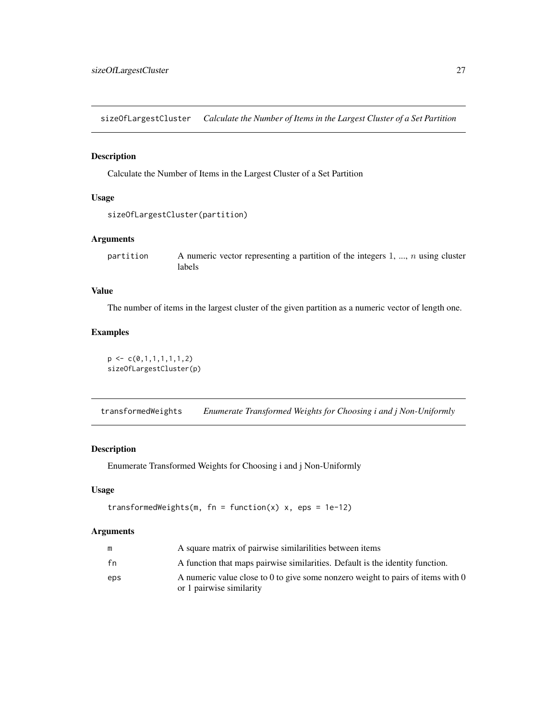<span id="page-26-0"></span>sizeOfLargestCluster *Calculate the Number of Items in the Largest Cluster of a Set Partition*

# Description

Calculate the Number of Items in the Largest Cluster of a Set Partition

#### Usage

```
sizeOfLargestCluster(partition)
```
# Arguments

partition A numeric vector representing a partition of the integers 1, ...,  $n$  using cluster labels

# Value

The number of items in the largest cluster of the given partition as a numeric vector of length one.

# Examples

```
p \leftarrow c(0,1,1,1,1,1,1,2)sizeOfLargestCluster(p)
```
transformedWeights *Enumerate Transformed Weights for Choosing i and j Non-Uniformly*

#### Description

Enumerate Transformed Weights for Choosing i and j Non-Uniformly

#### Usage

```
transformedWeights(m, fn = function(x) x, eps = 1e-12)
```
#### Arguments

| m   | A square matrix of pairwise similarilities between items                                                    |
|-----|-------------------------------------------------------------------------------------------------------------|
| fn  | A function that maps pairwise similarities. Default is the identity function.                               |
| eps | A numeric value close to 0 to give some nonzero weight to pairs of items with 0<br>or 1 pairwise similarity |
|     |                                                                                                             |